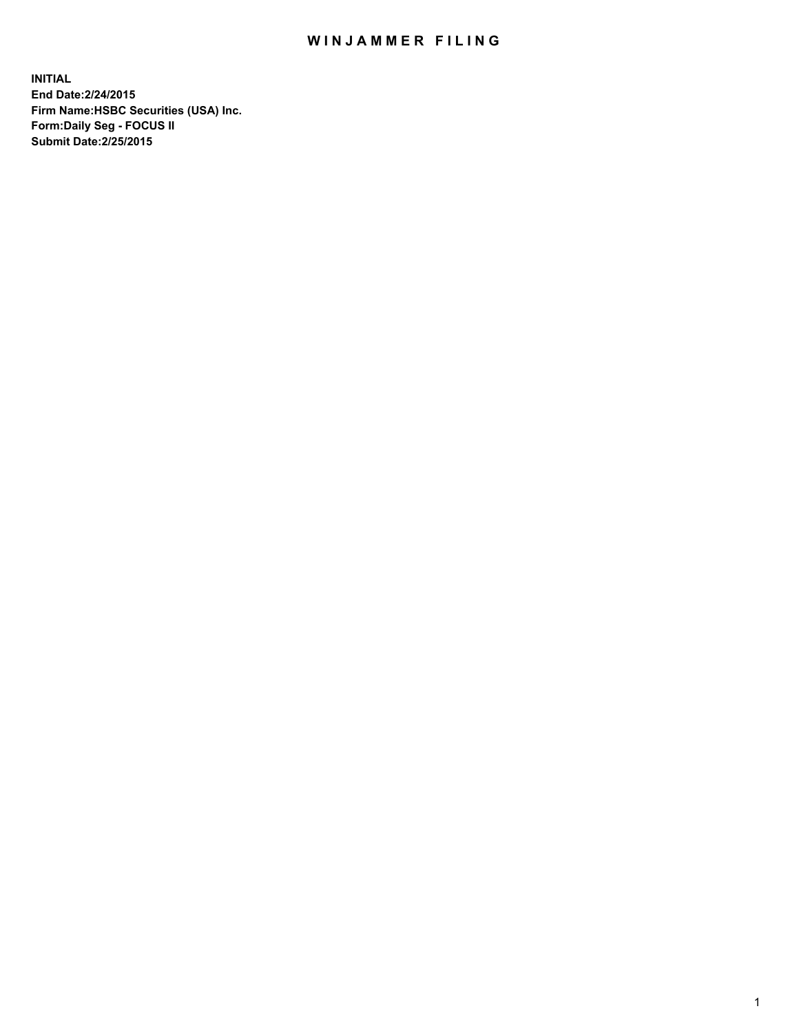## WIN JAMMER FILING

**INITIAL End Date:2/24/2015 Firm Name:HSBC Securities (USA) Inc. Form:Daily Seg - FOCUS II Submit Date:2/25/2015**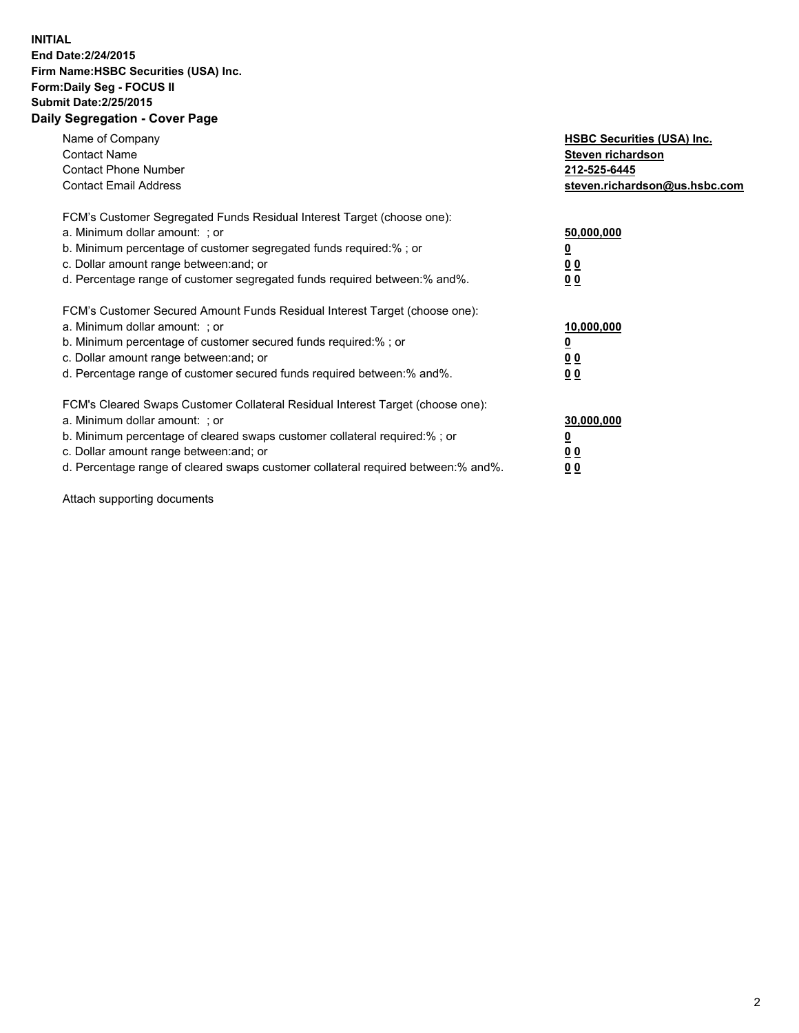## **INITIAL End Date:2/24/2015 Firm Name:HSBC Securities (USA) Inc. Form:Daily Seg - FOCUS II Submit Date:2/25/2015 Daily Segregation - Cover Page**

| Name of Company<br><b>Contact Name</b><br><b>Contact Phone Number</b><br><b>Contact Email Address</b>                                                                                                                                                                                                                         | <b>HSBC Securities (USA) Inc.</b><br>Steven richardson<br>212-525-6445<br>steven.richardson@us.hsbc.com |
|-------------------------------------------------------------------------------------------------------------------------------------------------------------------------------------------------------------------------------------------------------------------------------------------------------------------------------|---------------------------------------------------------------------------------------------------------|
| FCM's Customer Segregated Funds Residual Interest Target (choose one):<br>a. Minimum dollar amount: ; or<br>b. Minimum percentage of customer segregated funds required:%; or<br>c. Dollar amount range between: and; or<br>d. Percentage range of customer segregated funds required between:% and%.                         | 50,000,000<br>00<br>0 <sub>0</sub>                                                                      |
| FCM's Customer Secured Amount Funds Residual Interest Target (choose one):<br>a. Minimum dollar amount: ; or<br>b. Minimum percentage of customer secured funds required:%; or<br>c. Dollar amount range between: and; or<br>d. Percentage range of customer secured funds required between:% and%.                           | 10,000,000<br>0 <sub>0</sub><br>00                                                                      |
| FCM's Cleared Swaps Customer Collateral Residual Interest Target (choose one):<br>a. Minimum dollar amount: ; or<br>b. Minimum percentage of cleared swaps customer collateral required:%; or<br>c. Dollar amount range between: and; or<br>d. Percentage range of cleared swaps customer collateral required between:% and%. | 30,000,000<br><u>00</u><br><u>00</u>                                                                    |

Attach supporting documents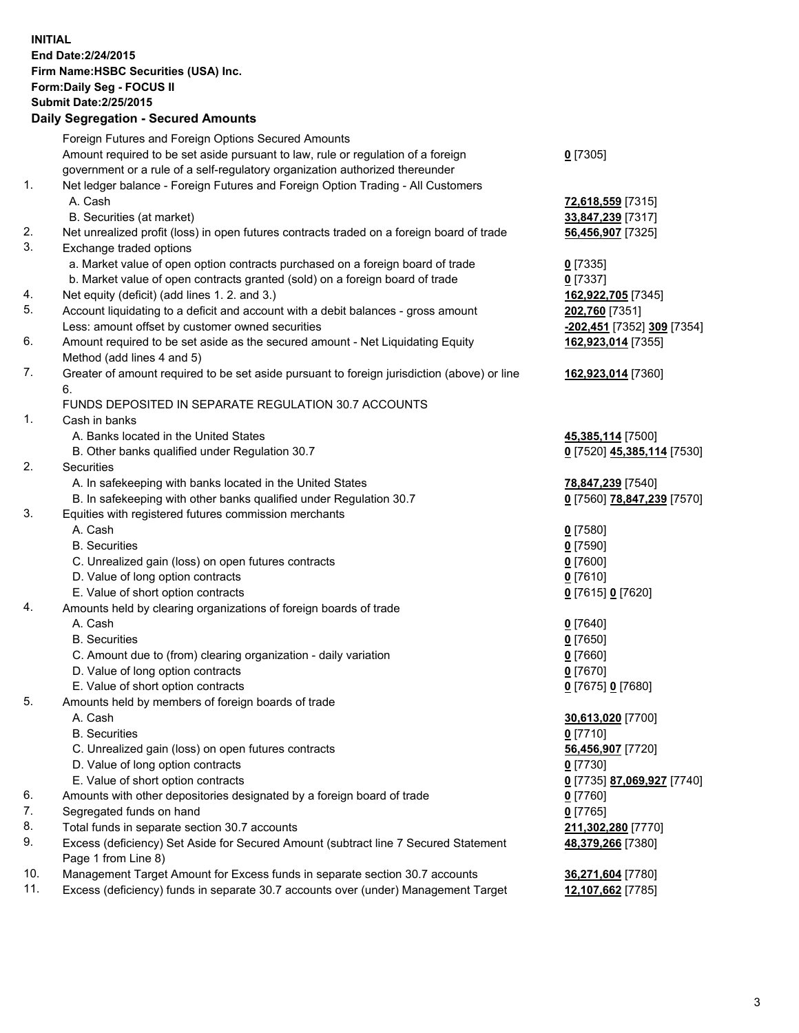**INITIAL End Date:2/24/2015 Firm Name:HSBC Securities (USA) Inc. Form:Daily Seg - FOCUS II Submit Date:2/25/2015 Daily Segregation - Secured Amounts**

Foreign Futures and Foreign Options Secured Amounts Amount required to be set aside pursuant to law, rule or regulation of a foreign government or a rule of a self-regulatory organization authorized thereunder **0** [7305] 1. Net ledger balance - Foreign Futures and Foreign Option Trading - All Customers A. Cash **72,618,559** [7315] B. Securities (at market) **33,847,239** [7317] 2. Net unrealized profit (loss) in open futures contracts traded on a foreign board of trade **56,456,907** [7325] 3. Exchange traded options a. Market value of open option contracts purchased on a foreign board of trade **0** [7335] b. Market value of open contracts granted (sold) on a foreign board of trade **0** [7337] 4. Net equity (deficit) (add lines 1. 2. and 3.) **162,922,705** [7345] 5. Account liquidating to a deficit and account with a debit balances - gross amount **202,760** [7351] Less: amount offset by customer owned securities **-202,451** [7352] **309** [7354] 6. Amount required to be set aside as the secured amount - Net Liquidating Equity Method (add lines 4 and 5) **162,923,014** [7355] 7. Greater of amount required to be set aside pursuant to foreign jurisdiction (above) or line 6. **162,923,014** [7360] FUNDS DEPOSITED IN SEPARATE REGULATION 30.7 ACCOUNTS 1. Cash in banks A. Banks located in the United States **45,385,114** [7500] B. Other banks qualified under Regulation 30.7 **0** [7520] **45,385,114** [7530] 2. Securities A. In safekeeping with banks located in the United States **78,847,239** [7540] B. In safekeeping with other banks qualified under Regulation 30.7 **0** [7560] **78,847,239** [7570] 3. Equities with registered futures commission merchants A. Cash **0** [7580] B. Securities **0** [7590] C. Unrealized gain (loss) on open futures contracts **0** [7600] D. Value of long option contracts **0** [7610] E. Value of short option contracts **0** [7615] **0** [7620] 4. Amounts held by clearing organizations of foreign boards of trade A. Cash **0** [7640] B. Securities **0** [7650] C. Amount due to (from) clearing organization - daily variation **0** [7660] D. Value of long option contracts **0** [7670] E. Value of short option contracts **0** [7675] **0** [7680] 5. Amounts held by members of foreign boards of trade A. Cash **30,613,020** [7700] B. Securities **0** [7710] C. Unrealized gain (loss) on open futures contracts **56,456,907** [7720] D. Value of long option contracts **0** [7730] E. Value of short option contracts **0** [7735] **87,069,927** [7740] 6. Amounts with other depositories designated by a foreign board of trade **0** [7760] 7. Segregated funds on hand **0** [7765] 8. Total funds in separate section 30.7 accounts **211,302,280** [7770] 9. Excess (deficiency) Set Aside for Secured Amount (subtract line 7 Secured Statement Page 1 from Line 8) **48,379,266** [7380] 10. Management Target Amount for Excess funds in separate section 30.7 accounts **36,271,604** [7780] 11. Excess (deficiency) funds in separate 30.7 accounts over (under) Management Target **12,107,662** [7785]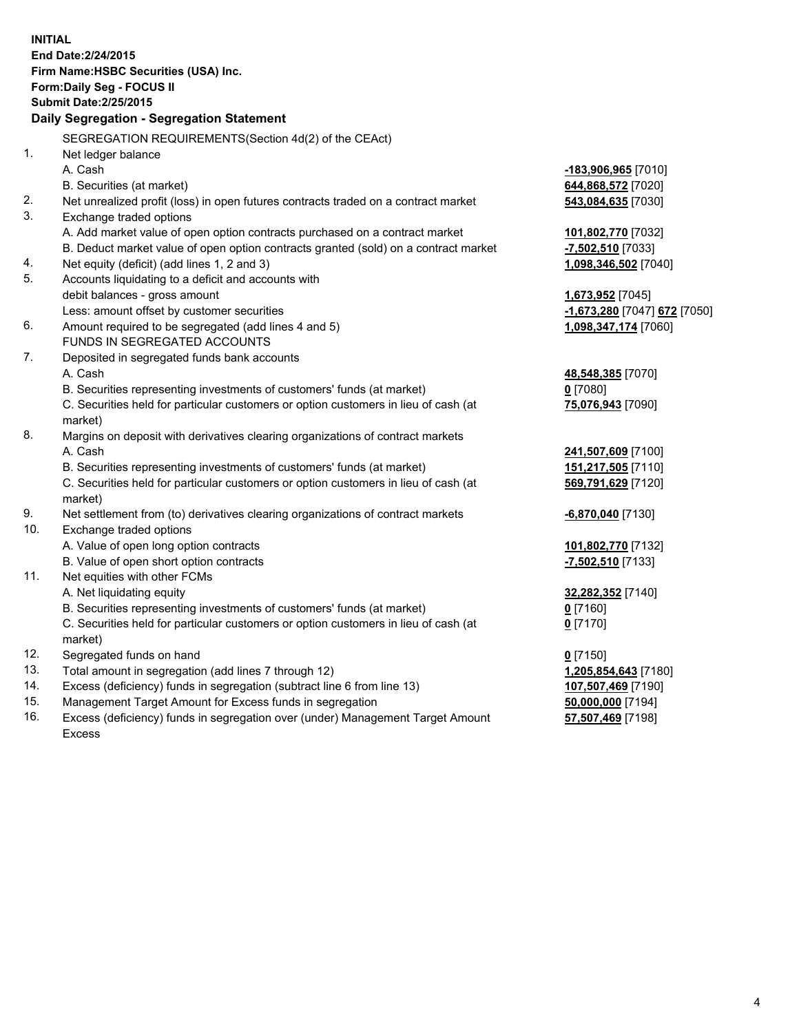| <b>INITIAL</b>                            | End Date: 2/24/2015<br>Firm Name: HSBC Securities (USA) Inc.<br>Form: Daily Seg - FOCUS II     |                              |  |  |
|-------------------------------------------|------------------------------------------------------------------------------------------------|------------------------------|--|--|
| <b>Submit Date: 2/25/2015</b>             |                                                                                                |                              |  |  |
| Daily Segregation - Segregation Statement |                                                                                                |                              |  |  |
|                                           | SEGREGATION REQUIREMENTS(Section 4d(2) of the CEAct)                                           |                              |  |  |
| 1.                                        | Net ledger balance                                                                             |                              |  |  |
|                                           | A. Cash                                                                                        | -183,906,965 [7010]          |  |  |
|                                           | B. Securities (at market)                                                                      | 644,868,572 [7020]           |  |  |
| 2.                                        | Net unrealized profit (loss) in open futures contracts traded on a contract market             | 543,084,635 [7030]           |  |  |
| 3.                                        | Exchange traded options                                                                        |                              |  |  |
|                                           | A. Add market value of open option contracts purchased on a contract market                    | 101,802,770 [7032]           |  |  |
|                                           | B. Deduct market value of open option contracts granted (sold) on a contract market            | -7,502,510 [7033]            |  |  |
| 4.                                        | Net equity (deficit) (add lines 1, 2 and 3)                                                    | 1,098,346,502 [7040]         |  |  |
| 5.                                        | Accounts liquidating to a deficit and accounts with                                            |                              |  |  |
|                                           | debit balances - gross amount                                                                  | 1,673,952 [7045]             |  |  |
|                                           | Less: amount offset by customer securities                                                     | -1,673,280 [7047] 672 [7050] |  |  |
| 6.                                        | Amount required to be segregated (add lines 4 and 5)                                           | 1,098,347,174 [7060]         |  |  |
|                                           | FUNDS IN SEGREGATED ACCOUNTS                                                                   |                              |  |  |
| 7.                                        | Deposited in segregated funds bank accounts                                                    |                              |  |  |
|                                           | A. Cash                                                                                        | 48,548,385 [7070]            |  |  |
|                                           | B. Securities representing investments of customers' funds (at market)                         | $0$ [7080]                   |  |  |
|                                           | C. Securities held for particular customers or option customers in lieu of cash (at            | 75,076,943 [7090]            |  |  |
|                                           | market)                                                                                        |                              |  |  |
| 8.                                        | Margins on deposit with derivatives clearing organizations of contract markets                 |                              |  |  |
|                                           | A. Cash                                                                                        | 241,507,609 [7100]           |  |  |
|                                           | B. Securities representing investments of customers' funds (at market)                         | 151,217,505 [7110]           |  |  |
|                                           | C. Securities held for particular customers or option customers in lieu of cash (at<br>market) | 569,791,629 [7120]           |  |  |
| 9.                                        | Net settlement from (to) derivatives clearing organizations of contract markets                | <u>-6,870,040</u> [7130]     |  |  |
| 10.                                       | Exchange traded options                                                                        |                              |  |  |
|                                           | A. Value of open long option contracts                                                         | 101,802,770 [7132]           |  |  |
|                                           | B. Value of open short option contracts                                                        | -7,502,510 [7133]            |  |  |
| 11.                                       | Net equities with other FCMs                                                                   |                              |  |  |
|                                           | A. Net liquidating equity                                                                      | 32,282,352 [7140]            |  |  |
|                                           | B. Securities representing investments of customers' funds (at market)                         | $0$ [7160]                   |  |  |
|                                           | C. Securities held for particular customers or option customers in lieu of cash (at            | $0$ [7170]                   |  |  |
|                                           | market)                                                                                        |                              |  |  |
| 12.                                       | Segregated funds on hand                                                                       | $0$ [7150]                   |  |  |
| 13.                                       | Total amount in segregation (add lines 7 through 12)                                           | 1,205,854,643 [7180]         |  |  |
| 14.                                       | Excess (deficiency) funds in segregation (subtract line 6 from line 13)                        | 107,507,469 [7190]           |  |  |
| 15.                                       | Management Target Amount for Excess funds in segregation                                       | 50,000,000 [7194]            |  |  |
| 16.                                       | Excess (deficiency) funds in segregation over (under) Management Target Amount                 | 57,507,469 [7198]            |  |  |

16. Excess (deficiency) funds in segregation over (under) Management Target Amount Excess